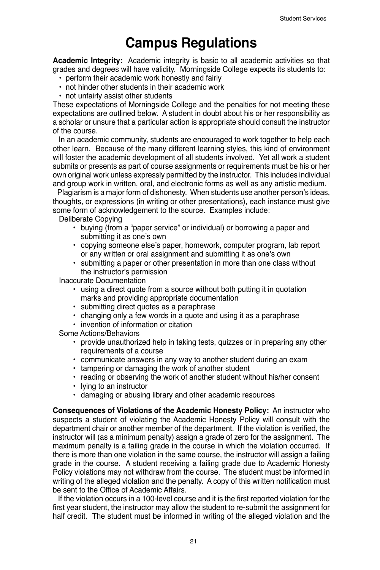## **Campus Regulations**

**Academic Integrity:** Academic integrity is basic to all academic activities so that grades and degrees will have validity. Morningside College expects its students to:

- perform their academic work honestly and fairly
- not hinder other students in their academic work
- not unfairly assist other students

These expectations of Morningside College and the penalties for not meeting these expectations are outlined below. A student in doubt about his or her responsibility as a scholar or unsure that a particular action is appropriate should consult the instructor of the course.

 In an academic community, students are encouraged to work together to help each other learn. Because of the many different learning styles, this kind of environment will foster the academic development of all students involved. Yet all work a student submits or presents as part of course assignments or requirements must be his or her own original work unless expressly permitted by the instructor. This includes individual and group work in written, oral, and electronic forms as well as any artistic medium.

 Plagiarism is a major form of dishonesty. When students use another person's ideas, thoughts, or expressions (in writing or other presentations), each instance must give some form of acknowledgement to the source. Examples include:

Deliberate Copying

- buying (from a "paper service" or individual) or borrowing a paper and submitting it as one's own
- copying someone else's paper, homework, computer program, lab report or any written or oral assignment and submitting it as one's own
- submitting a paper or other presentation in more than one class without the instructor's permission

Inaccurate Documentation

- using a direct quote from a source without both putting it in quotation marks and providing appropriate documentation
- submitting direct quotes as a paraphrase
- changing only a few words in a quote and using it as a paraphrase
- invention of information or citation

Some Actions/Behaviors

- provide unauthorized help in taking tests, quizzes or in preparing any other requirements of a course
- communicate answers in any way to another student during an exam
- tampering or damaging the work of another student
- reading or observing the work of another student without his/her consent
- lying to an instructor
- damaging or abusing library and other academic resources

**Consequences of Violations of the Academic Honesty Policy:** An instructor who suspects a student of violating the Academic Honesty Policy will consult with the department chair or another member of the department. If the violation is verified, the instructor will (as a minimum penalty) assign a grade of zero for the assignment. The maximum penalty is a failing grade in the course in which the violation occurred. If there is more than one violation in the same course, the instructor will assign a failing grade in the course. A student receiving a failing grade due to Academic Honesty Policy violations may not withdraw from the course. The student must be informed in writing of the alleged violation and the penalty. A copy of this written notification must be sent to the Office of Academic Affairs.

 If the violation occurs in a 100-level course and it is the first reported violation for the first year student, the instructor may allow the student to re-submit the assignment for half credit. The student must be informed in writing of the alleged violation and the